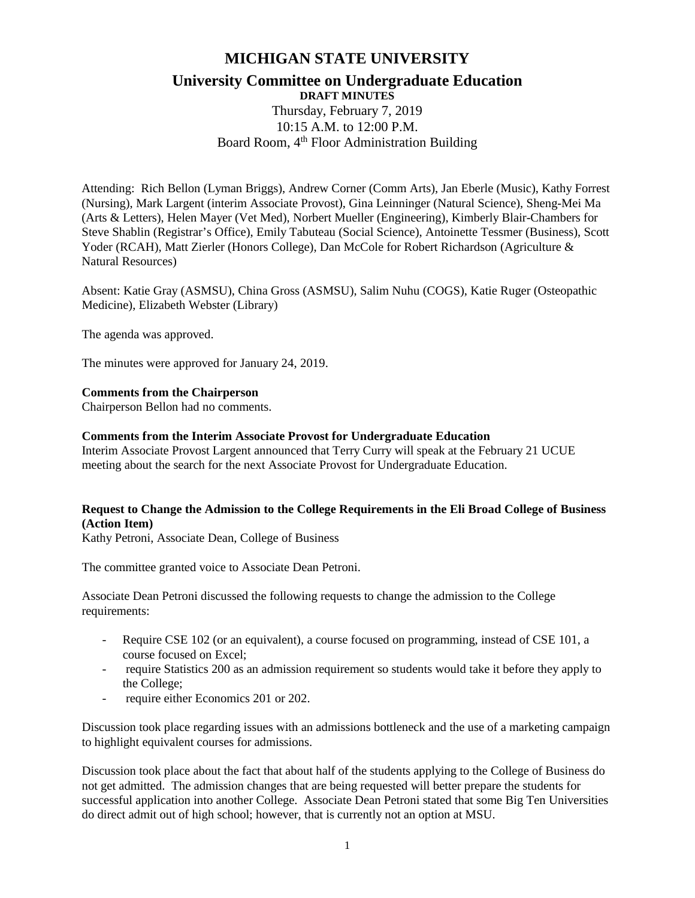# **MICHIGAN STATE UNIVERSITY**

### **University Committee on Undergraduate Education DRAFT MINUTES**

Thursday, February 7, 2019 10:15 A.M. to 12:00 P.M. Board Room, 4<sup>th</sup> Floor Administration Building

Attending: Rich Bellon (Lyman Briggs), Andrew Corner (Comm Arts), Jan Eberle (Music), Kathy Forrest (Nursing), Mark Largent (interim Associate Provost), Gina Leinninger (Natural Science), Sheng-Mei Ma (Arts & Letters), Helen Mayer (Vet Med), Norbert Mueller (Engineering), Kimberly Blair-Chambers for Steve Shablin (Registrar's Office), Emily Tabuteau (Social Science), Antoinette Tessmer (Business), Scott Yoder (RCAH), Matt Zierler (Honors College), Dan McCole for Robert Richardson (Agriculture & Natural Resources)

Absent: Katie Gray (ASMSU), China Gross (ASMSU), Salim Nuhu (COGS), Katie Ruger (Osteopathic Medicine), Elizabeth Webster (Library)

The agenda was approved.

The minutes were approved for January 24, 2019.

# **Comments from the Chairperson**

Chairperson Bellon had no comments.

### **Comments from the Interim Associate Provost for Undergraduate Education**

Interim Associate Provost Largent announced that Terry Curry will speak at the February 21 UCUE meeting about the search for the next Associate Provost for Undergraduate Education.

# **Request to Change the Admission to the College Requirements in the Eli Broad College of Business (Action Item)**

Kathy Petroni, Associate Dean, College of Business

The committee granted voice to Associate Dean Petroni.

Associate Dean Petroni discussed the following requests to change the admission to the College requirements:

- Require CSE 102 (or an equivalent), a course focused on programming, instead of CSE 101, a course focused on Excel;
- require Statistics 200 as an admission requirement so students would take it before they apply to the College;
- require either Economics 201 or 202.

Discussion took place regarding issues with an admissions bottleneck and the use of a marketing campaign to highlight equivalent courses for admissions.

Discussion took place about the fact that about half of the students applying to the College of Business do not get admitted. The admission changes that are being requested will better prepare the students for successful application into another College. Associate Dean Petroni stated that some Big Ten Universities do direct admit out of high school; however, that is currently not an option at MSU.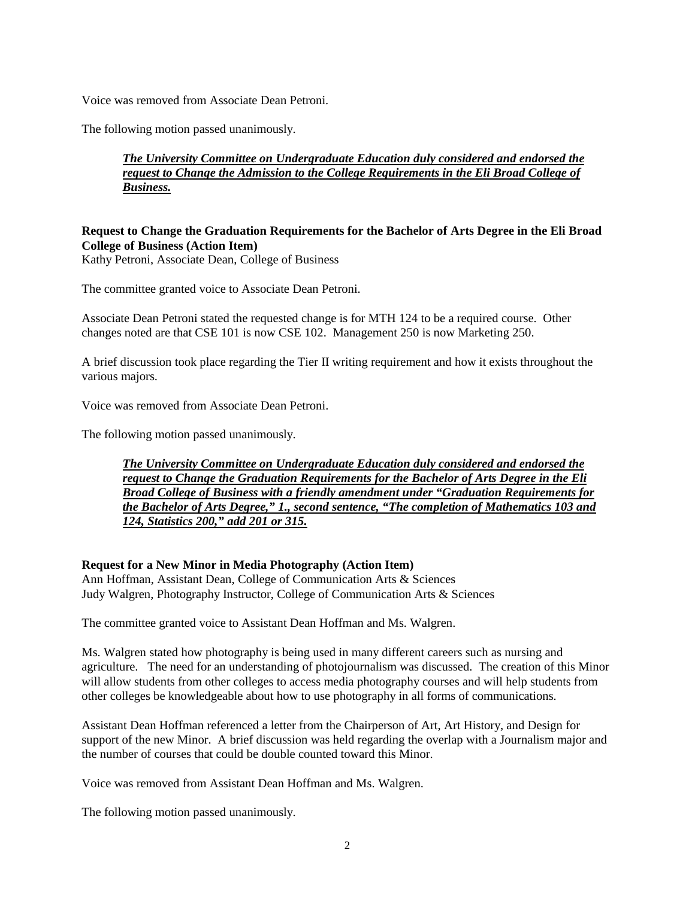Voice was removed from Associate Dean Petroni.

The following motion passed unanimously.

# *The University Committee on Undergraduate Education duly considered and endorsed the request to Change the Admission to the College Requirements in the Eli Broad College of Business.*

# **Request to Change the Graduation Requirements for the Bachelor of Arts Degree in the Eli Broad College of Business (Action Item)**

Kathy Petroni, Associate Dean, College of Business

The committee granted voice to Associate Dean Petroni.

Associate Dean Petroni stated the requested change is for MTH 124 to be a required course. Other changes noted are that CSE 101 is now CSE 102. Management 250 is now Marketing 250.

A brief discussion took place regarding the Tier II writing requirement and how it exists throughout the various majors.

Voice was removed from Associate Dean Petroni.

The following motion passed unanimously.

*The University Committee on Undergraduate Education duly considered and endorsed the request to Change the Graduation Requirements for the Bachelor of Arts Degree in the Eli Broad College of Business with a friendly amendment under "Graduation Requirements for the Bachelor of Arts Degree," 1., second sentence, "The completion of Mathematics 103 and 124, Statistics 200," add 201 or 315.*

### **Request for a New Minor in Media Photography (Action Item)**

Ann Hoffman, Assistant Dean, College of Communication Arts & Sciences Judy Walgren, Photography Instructor, College of Communication Arts & Sciences

The committee granted voice to Assistant Dean Hoffman and Ms. Walgren.

Ms. Walgren stated how photography is being used in many different careers such as nursing and agriculture. The need for an understanding of photojournalism was discussed. The creation of this Minor will allow students from other colleges to access media photography courses and will help students from other colleges be knowledgeable about how to use photography in all forms of communications.

Assistant Dean Hoffman referenced a letter from the Chairperson of Art, Art History, and Design for support of the new Minor. A brief discussion was held regarding the overlap with a Journalism major and the number of courses that could be double counted toward this Minor.

Voice was removed from Assistant Dean Hoffman and Ms. Walgren.

The following motion passed unanimously.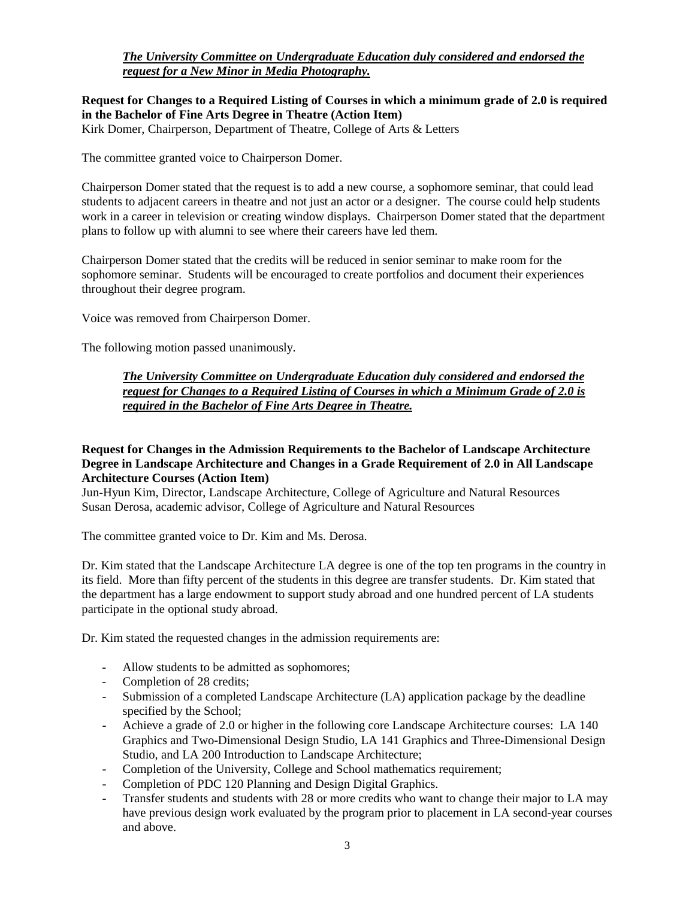# *The University Committee on Undergraduate Education duly considered and endorsed the request for a New Minor in Media Photography.*

**Request for Changes to a Required Listing of Courses in which a minimum grade of 2.0 is required in the Bachelor of Fine Arts Degree in Theatre (Action Item)** Kirk Domer, Chairperson, Department of Theatre, College of Arts & Letters

The committee granted voice to Chairperson Domer.

Chairperson Domer stated that the request is to add a new course, a sophomore seminar, that could lead students to adjacent careers in theatre and not just an actor or a designer. The course could help students work in a career in television or creating window displays. Chairperson Domer stated that the department plans to follow up with alumni to see where their careers have led them.

Chairperson Domer stated that the credits will be reduced in senior seminar to make room for the sophomore seminar. Students will be encouraged to create portfolios and document their experiences throughout their degree program.

Voice was removed from Chairperson Domer.

The following motion passed unanimously.

*The University Committee on Undergraduate Education duly considered and endorsed the request for Changes to a Required Listing of Courses in which a Minimum Grade of 2.0 is required in the Bachelor of Fine Arts Degree in Theatre.*

### **Request for Changes in the Admission Requirements to the Bachelor of Landscape Architecture Degree in Landscape Architecture and Changes in a Grade Requirement of 2.0 in All Landscape Architecture Courses (Action Item)**

Jun-Hyun Kim, Director, Landscape Architecture, College of Agriculture and Natural Resources Susan Derosa, academic advisor, College of Agriculture and Natural Resources

The committee granted voice to Dr. Kim and Ms. Derosa.

Dr. Kim stated that the Landscape Architecture LA degree is one of the top ten programs in the country in its field. More than fifty percent of the students in this degree are transfer students. Dr. Kim stated that the department has a large endowment to support study abroad and one hundred percent of LA students participate in the optional study abroad.

Dr. Kim stated the requested changes in the admission requirements are:

- Allow students to be admitted as sophomores;
- Completion of 28 credits;
- Submission of a completed Landscape Architecture (LA) application package by the deadline specified by the School;
- Achieve a grade of 2.0 or higher in the following core Landscape Architecture courses: LA 140 Graphics and Two-Dimensional Design Studio, LA 141 Graphics and Three-Dimensional Design Studio, and LA 200 Introduction to Landscape Architecture;
- Completion of the University, College and School mathematics requirement;
- Completion of PDC 120 Planning and Design Digital Graphics.
- Transfer students and students with 28 or more credits who want to change their major to LA may have previous design work evaluated by the program prior to placement in LA second-year courses and above.